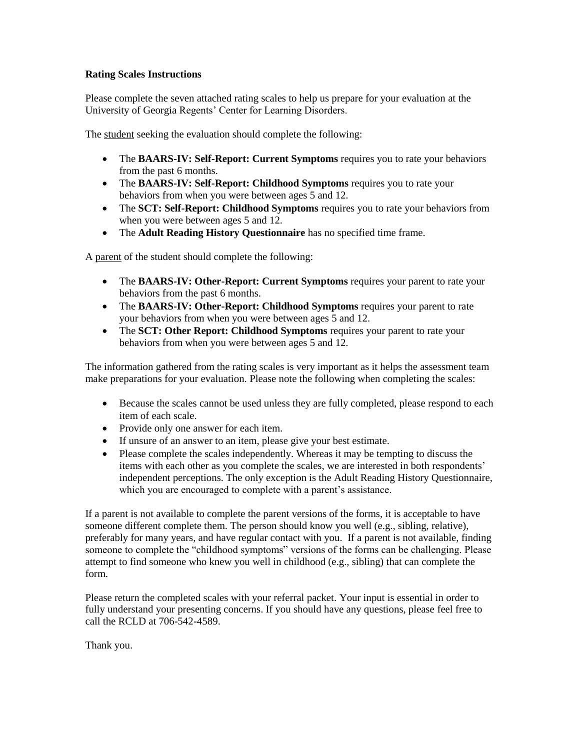#### **Rating Scales Instructions**

Please complete the seven attached rating scales to help us prepare for your evaluation at the University of Georgia Regents' Center for Learning Disorders.

The student seeking the evaluation should complete the following:

- The **BAARS-IV: Self-Report: Current Symptoms** requires you to rate your behaviors from the past 6 months.
- The **BAARS-IV: Self-Report: Childhood Symptoms** requires you to rate your behaviors from when you were between ages 5 and 12.
- The **SCT: Self-Report: Childhood Symptoms** requires you to rate your behaviors from when you were between ages 5 and 12.
- The **Adult Reading History Questionnaire** has no specified time frame.

A parent of the student should complete the following:

- The **BAARS-IV: Other-Report: Current Symptoms** requires your parent to rate your behaviors from the past 6 months.
- The **BAARS-IV: Other-Report: Childhood Symptoms** requires your parent to rate your behaviors from when you were between ages 5 and 12.
- The **SCT: Other Report: Childhood Symptoms** requires your parent to rate your behaviors from when you were between ages 5 and 12.

The information gathered from the rating scales is very important as it helps the assessment team make preparations for your evaluation. Please note the following when completing the scales:

- Because the scales cannot be used unless they are fully completed, please respond to each item of each scale.
- Provide only one answer for each item.
- If unsure of an answer to an item, please give your best estimate.
- Please complete the scales independently. Whereas it may be tempting to discuss the items with each other as you complete the scales, we are interested in both respondents' independent perceptions. The only exception is the Adult Reading History Questionnaire, which you are encouraged to complete with a parent's assistance.

If a parent is not available to complete the parent versions of the forms, it is acceptable to have someone different complete them. The person should know you well (e.g., sibling, relative), preferably for many years, and have regular contact with you. If a parent is not available, finding someone to complete the "childhood symptoms" versions of the forms can be challenging. Please attempt to find someone who knew you well in childhood (e.g., sibling) that can complete the form.

Please return the completed scales with your referral packet. Your input is essential in order to fully understand your presenting concerns. If you should have any questions, please feel free to call the RCLD at 706-542-4589.

Thank you.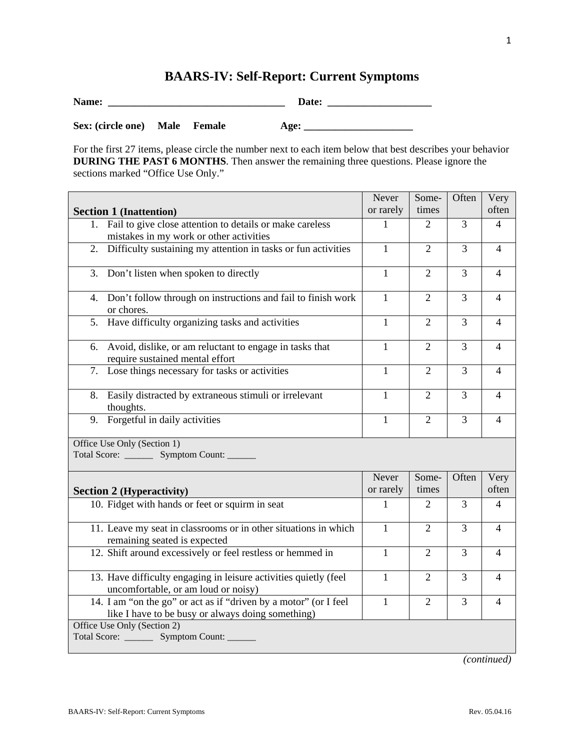# **BAARS-IV: Self-Report: Current Symptoms**

| Name:                         |  | Date: |  |
|-------------------------------|--|-------|--|
| Sex: (circle one) Male Female |  | Age:  |  |

For the first 27 items, please circle the number next to each item below that best describes your behavior **DURING THE PAST 6 MONTHS**. Then answer the remaining three questions. Please ignore the sections marked "Office Use Only."

|                                                                                                                       | Never        | Some-          | Often          | Very           |
|-----------------------------------------------------------------------------------------------------------------------|--------------|----------------|----------------|----------------|
| <b>Section 1 (Inattention)</b>                                                                                        | or rarely    | times          |                | often          |
| Fail to give close attention to details or make careless<br>1.<br>mistakes in my work or other activities             | 1            | 2              | 3              | 4              |
| Difficulty sustaining my attention in tasks or fun activities<br>2.                                                   | $\mathbf{1}$ | $\overline{2}$ | 3              | $\overline{4}$ |
| 3.<br>Don't listen when spoken to directly                                                                            | $\mathbf{1}$ | $\overline{2}$ | 3              | 4              |
| Don't follow through on instructions and fail to finish work<br>4.<br>or chores.                                      | 1            | $\overline{2}$ | 3              | 4              |
| Have difficulty organizing tasks and activities<br>5.                                                                 | 1            | $\overline{2}$ | 3              | 4              |
| Avoid, dislike, or am reluctant to engage in tasks that<br>6.<br>require sustained mental effort                      | 1            | $\overline{2}$ | $\overline{3}$ | $\overline{4}$ |
| Lose things necessary for tasks or activities<br>7.                                                                   | 1            | $\overline{2}$ | $\overline{3}$ | $\overline{4}$ |
| Easily distracted by extraneous stimuli or irrelevant<br>8.<br>thoughts.                                              | $\mathbf{1}$ | $\overline{2}$ | 3              | $\overline{4}$ |
| 9. Forgetful in daily activities                                                                                      | $\mathbf{1}$ | $\overline{2}$ | 3              | $\overline{4}$ |
| Office Use Only (Section 1)<br>Total Score: _________ Symptom Count: _______                                          |              |                |                |                |
|                                                                                                                       | Never        | Some-          | Often          | Very           |
| <b>Section 2 (Hyperactivity)</b>                                                                                      | or rarely    | times          |                | often          |
| 10. Fidget with hands or feet or squirm in seat                                                                       | 1            | $\overline{2}$ | 3              | 4              |
| 11. Leave my seat in classrooms or in other situations in which<br>remaining seated is expected                       | $\mathbf{1}$ | $\overline{2}$ | 3              | 4              |
| 12. Shift around excessively or feel restless or hemmed in                                                            | $\mathbf{1}$ | $\overline{2}$ | 3              | 4              |
| 13. Have difficulty engaging in leisure activities quietly (feel<br>uncomfortable, or am loud or noisy)               | $\mathbf{1}$ | $\overline{2}$ | 3              | 4              |
| 14. I am "on the go" or act as if "driven by a motor" (or I feel<br>like I have to be busy or always doing something) | 1            | $\overline{2}$ | 3              | 4              |
| Office Use Only (Section 2)<br>Total Score: _________ Symptom Count: ______                                           |              |                |                |                |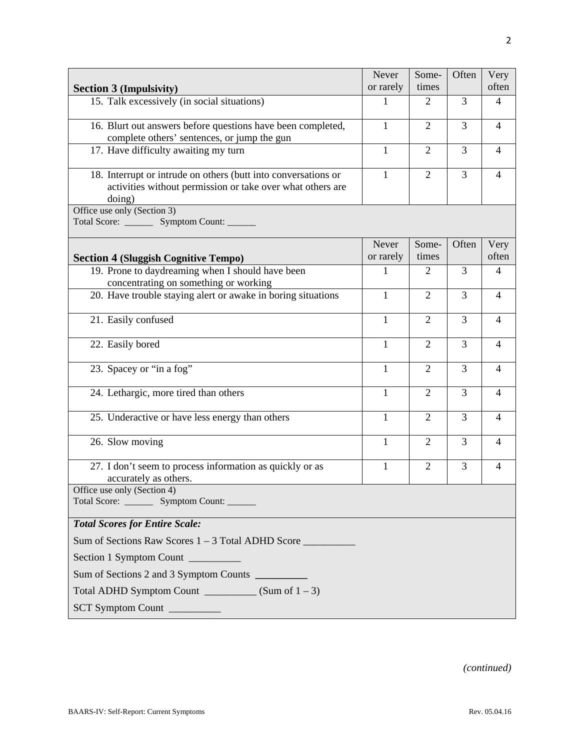| <b>Section 3 (Impulsivity)</b>                                                                                                         | Never<br>or rarely | Some-<br>times | Often          | Very<br>often  |
|----------------------------------------------------------------------------------------------------------------------------------------|--------------------|----------------|----------------|----------------|
| 15. Talk excessively (in social situations)                                                                                            | 1                  | $\overline{2}$ | 3              | $\overline{4}$ |
| 16. Blurt out answers before questions have been completed,<br>complete others' sentences, or jump the gun                             | 1                  | $\overline{2}$ | 3              | 4              |
| 17. Have difficulty awaiting my turn                                                                                                   | $\mathbf{1}$       | $\overline{2}$ | $\overline{3}$ | $\overline{4}$ |
| 18. Interrupt or intrude on others (butt into conversations or<br>activities without permission or take over what others are<br>doing) | $\mathbf{1}$       | $\overline{2}$ | $\overline{3}$ | $\overline{4}$ |
| Office use only (Section 3)<br>Total Score: _________ Symptom Count: _______                                                           |                    |                |                |                |
| <b>Section 4 (Sluggish Cognitive Tempo)</b>                                                                                            | Never<br>or rarely | Some-<br>times | Often          | Very<br>often  |
| 19. Prone to daydreaming when I should have been<br>concentrating on something or working                                              | 1                  | 2              | 3              | $\overline{4}$ |
| 20. Have trouble staying alert or awake in boring situations                                                                           | $\mathbf{1}$       | $\overline{2}$ | 3              | $\overline{4}$ |
| 21. Easily confused                                                                                                                    | $\mathbf{1}$       | $\overline{2}$ | 3              | $\overline{4}$ |
| 22. Easily bored                                                                                                                       | 1                  | 2              | 3              | $\overline{4}$ |
| 23. Spacey or "in a fog"                                                                                                               | 1                  | $\overline{2}$ | 3              | $\overline{4}$ |
| 24. Lethargic, more tired than others                                                                                                  | 1                  | $\overline{2}$ | 3              | 4              |
| 25. Underactive or have less energy than others                                                                                        | $\mathbf{1}$       | $\overline{2}$ | 3              | $\overline{4}$ |
| 26. Slow moving                                                                                                                        | $\mathbf{1}$       | $\overline{2}$ | 3              | $\overline{4}$ |
| 27. I don't seem to process information as quickly or as<br>accurately as others.                                                      | 1                  | $\overline{2}$ | 3              | 4              |
| Office use only (Section 4)<br>Total Score: _________ Symptom Count: _______                                                           |                    |                |                |                |
| <b>Total Scores for Entire Scale:</b>                                                                                                  |                    |                |                |                |
| Sum of Sections Raw Scores 1 – 3 Total ADHD Score _______________________________                                                      |                    |                |                |                |
| Section 1 Symptom Count                                                                                                                |                    |                |                |                |
| Sum of Sections 2 and 3 Symptom Counts _________                                                                                       |                    |                |                |                |
| Total ADHD Symptom Count $\frac{S}{S}$ (Sum of $1 - 3$ )                                                                               |                    |                |                |                |
| SCT Symptom Count                                                                                                                      |                    |                |                |                |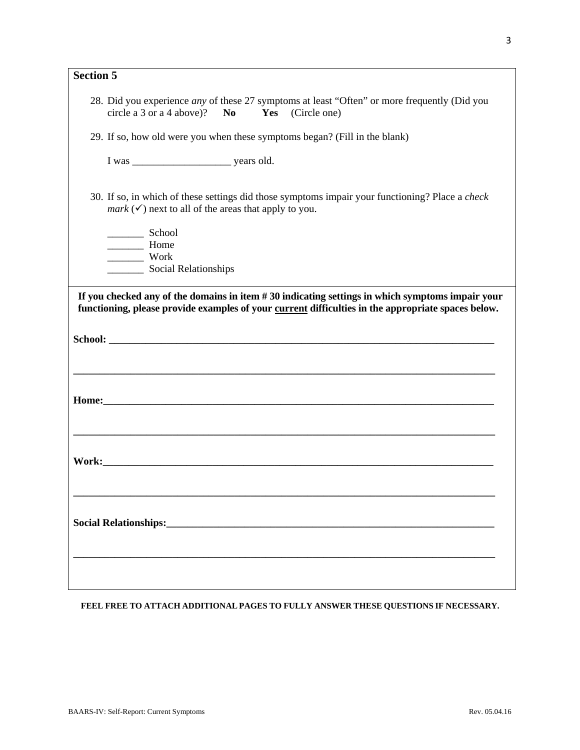| <b>Section 5</b> |                                                                                                                                                                           |
|------------------|---------------------------------------------------------------------------------------------------------------------------------------------------------------------------|
|                  | 28. Did you experience <i>any</i> of these 27 symptoms at least "Often" or more frequently (Did you<br>Yes (Circle one)<br>circle a 3 or a 4 above)?<br>N <sub>0</sub>    |
|                  | 29. If so, how old were you when these symptoms began? (Fill in the blank)                                                                                                |
|                  |                                                                                                                                                                           |
|                  | 30. If so, in which of these settings did those symptoms impair your functioning? Place a check<br><i>mark</i> $(\checkmark)$ next to all of the areas that apply to you. |
|                  | School<br>Home<br>Work<br>Social Relationships                                                                                                                            |
|                  |                                                                                                                                                                           |
|                  |                                                                                                                                                                           |
|                  |                                                                                                                                                                           |
|                  |                                                                                                                                                                           |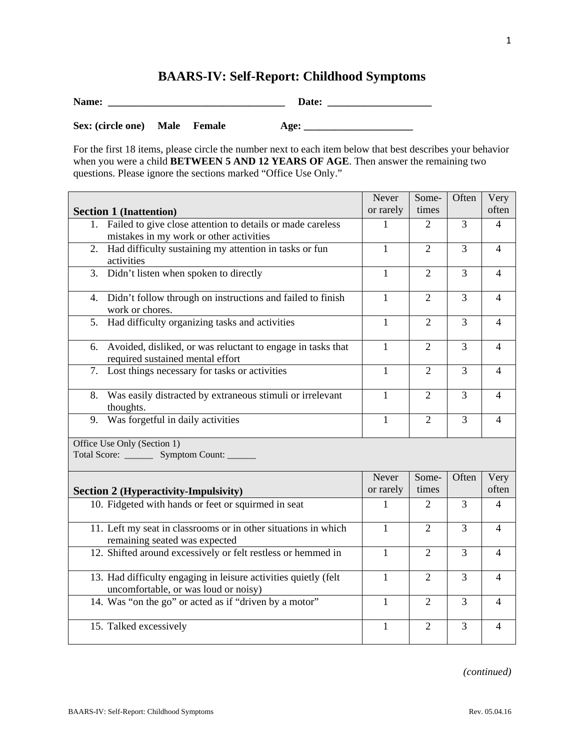# **BAARS-IV: Self-Report: Childhood Symptoms**

| Name:             |      |        | Date: |
|-------------------|------|--------|-------|
| Sex: (circle one) | Male | Female | Age:  |

For the first 18 items, please circle the number next to each item below that best describes your behavior when you were a child **BETWEEN 5 AND 12 YEARS OF AGE**. Then answer the remaining two questions. Please ignore the sections marked "Office Use Only."

|                                                                                                                      | Never              | Some-          | Often | Very           |
|----------------------------------------------------------------------------------------------------------------------|--------------------|----------------|-------|----------------|
| <b>Section 1 (Inattention)</b>                                                                                       | or rarely          | times          |       | often          |
| Failed to give close attention to details or made careless<br>$1_{\cdot}$<br>mistakes in my work or other activities | 1                  | 2              | 3     | 4              |
| Had difficulty sustaining my attention in tasks or fun<br>2.<br>activities                                           | $\mathbf{1}$       | 2              | 3     | 4              |
| 3. Didn't listen when spoken to directly                                                                             | $\mathbf{1}$       | $\overline{2}$ | 3     | $\overline{4}$ |
| 4. Didn't follow through on instructions and failed to finish<br>work or chores.                                     | $\mathbf{1}$       | 2              | 3     | 4              |
| 5. Had difficulty organizing tasks and activities                                                                    | 1                  | $\overline{2}$ | 3     | $\overline{4}$ |
| 6. Avoided, disliked, or was reluctant to engage in tasks that<br>required sustained mental effort                   | $\mathbf{1}$       | $\overline{2}$ | 3     | $\overline{4}$ |
| 7. Lost things necessary for tasks or activities                                                                     | 1                  | $\overline{2}$ | 3     | 4              |
| 8. Was easily distracted by extraneous stimuli or irrelevant<br>thoughts.                                            | $\mathbf{1}$       | $\overline{2}$ | 3     | $\overline{4}$ |
| 9. Was forgetful in daily activities                                                                                 | $\mathbf{1}$       | $\overline{2}$ | 3     | $\overline{4}$ |
| Office Use Only (Section 1)<br>Total Score: _________ Symptom Count: ______                                          |                    |                |       |                |
| <b>Section 2 (Hyperactivity-Impulsivity)</b>                                                                         | Never<br>or rarely | Some-<br>times | Often | Very<br>often  |
| 10. Fidgeted with hands or feet or squirmed in seat                                                                  | 1                  | $\overline{2}$ | 3     | $\overline{4}$ |
| 11. Left my seat in classrooms or in other situations in which<br>remaining seated was expected                      | $\mathbf{1}$       | $\overline{2}$ | 3     | 4              |
| 12. Shifted around excessively or felt restless or hemmed in                                                         | $\mathbf{1}$       | 2              | 3     | 4              |
| 13. Had difficulty engaging in leisure activities quietly (felt<br>uncomfortable, or was loud or noisy)              | $\mathbf{1}$       | $\overline{2}$ | 3     | $\overline{4}$ |
| 14. Was "on the go" or acted as if "driven by a motor"                                                               | $\mathbf{1}$       | $\overline{2}$ | 3     | $\overline{4}$ |
| 15. Talked excessively                                                                                               | $\mathbf{1}$       | $\overline{2}$ | 3     | $\overline{4}$ |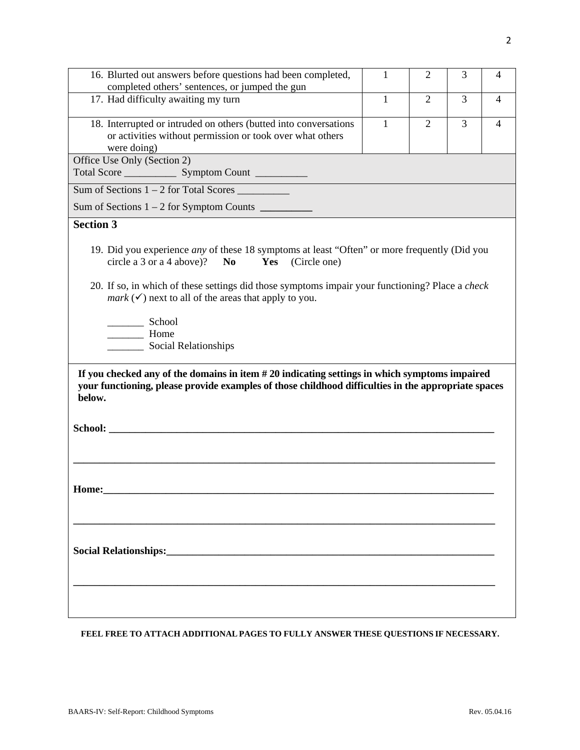| 16. Blurted out answers before questions had been completed,<br>completed others' sentences, or jumped the gun                                                                                                                                                                     | $\mathbf{1}$ | $\overline{2}$ | 3 | 4 |
|------------------------------------------------------------------------------------------------------------------------------------------------------------------------------------------------------------------------------------------------------------------------------------|--------------|----------------|---|---|
| 17. Had difficulty awaiting my turn                                                                                                                                                                                                                                                | $\mathbf{1}$ | $\overline{2}$ | 3 | 4 |
| 18. Interrupted or intruded on others (butted into conversations<br>or activities without permission or took over what others<br>were doing)                                                                                                                                       | $\mathbf{1}$ | $\overline{2}$ | 3 | 4 |
| Office Use Only (Section 2)                                                                                                                                                                                                                                                        |              |                |   |   |
| Total Score Symptom Count                                                                                                                                                                                                                                                          |              |                |   |   |
| Sum of Sections $1 - 2$ for Total Scores                                                                                                                                                                                                                                           |              |                |   |   |
|                                                                                                                                                                                                                                                                                    |              |                |   |   |
| <b>Section 3</b>                                                                                                                                                                                                                                                                   |              |                |   |   |
| circle a 3 or a 4 above)? No<br>Yes (Circle one)<br>20. If so, in which of these settings did those symptoms impair your functioning? Place a check<br><i>mark</i> $(\checkmark)$ next to all of the areas that apply to you.<br>School<br>Home<br>__________ Social Relationships |              |                |   |   |
| your functioning, please provide examples of those childhood difficulties in the appropriate spaces<br>below.                                                                                                                                                                      |              |                |   |   |
| Home:                                                                                                                                                                                                                                                                              |              |                |   |   |
|                                                                                                                                                                                                                                                                                    |              |                |   |   |
|                                                                                                                                                                                                                                                                                    |              |                |   |   |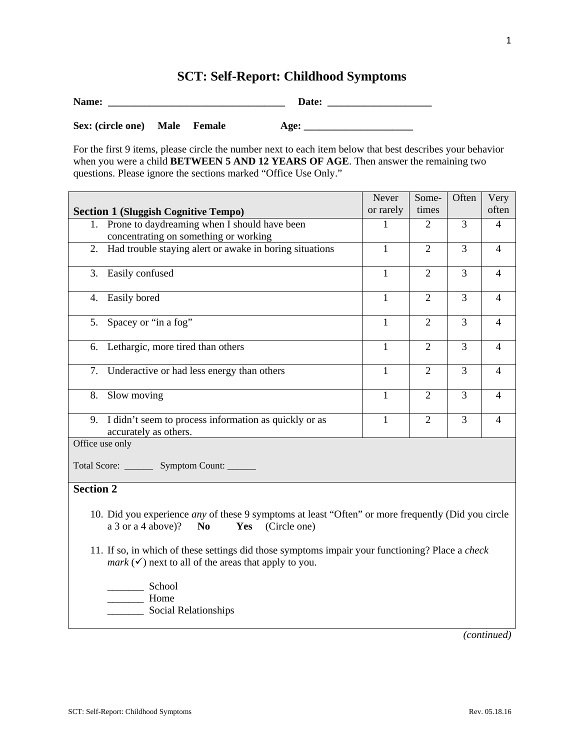# **SCT: Self-Report: Childhood Symptoms**

| Name:             |             |        | Date: |  |
|-------------------|-------------|--------|-------|--|
| Sex: (circle one) | <b>Male</b> | Female | Age:  |  |

For the first 9 items, please circle the number next to each item below that best describes your behavior when you were a child **BETWEEN 5 AND 12 YEARS OF AGE**. Then answer the remaining two questions. Please ignore the sections marked "Office Use Only."

|                                                                                                                                                                           | Never        | Some-          | Often          | Very           |
|---------------------------------------------------------------------------------------------------------------------------------------------------------------------------|--------------|----------------|----------------|----------------|
| <b>Section 1 (Sluggish Cognitive Tempo)</b>                                                                                                                               | or rarely    | times          |                | often          |
| 1. Prone to daydreaming when I should have been                                                                                                                           | 1            | 2              | 3              | $\overline{4}$ |
| concentrating on something or working                                                                                                                                     |              |                |                |                |
| Had trouble staying alert or awake in boring situations<br>2.                                                                                                             | $\mathbf{1}$ | $\overline{2}$ | 3              | $\overline{4}$ |
| Easily confused<br>3.                                                                                                                                                     | $\mathbf{1}$ | $\overline{2}$ | 3              | $\overline{4}$ |
| 4. Easily bored                                                                                                                                                           | $\mathbf{1}$ | $\overline{2}$ | 3              | $\overline{4}$ |
| 5. Spacey or "in a fog"                                                                                                                                                   | $\mathbf{1}$ | $\overline{2}$ | $\overline{3}$ | $\overline{4}$ |
| Lethargic, more tired than others<br>6.                                                                                                                                   | $\mathbf{1}$ | $\overline{2}$ | 3              | $\overline{4}$ |
| 7.<br>Underactive or had less energy than others                                                                                                                          | $\mathbf{1}$ | $\overline{2}$ | 3              | $\overline{4}$ |
| 8.<br>Slow moving                                                                                                                                                         | $\mathbf{1}$ | $\overline{2}$ | 3              | $\overline{4}$ |
| I didn't seem to process information as quickly or as<br>9.<br>accurately as others.                                                                                      | $\mathbf{1}$ | $\overline{2}$ | 3              | $\overline{4}$ |
| Office use only                                                                                                                                                           |              |                |                |                |
| Total Score: _________ Symptom Count: _______                                                                                                                             |              |                |                |                |
| <b>Section 2</b>                                                                                                                                                          |              |                |                |                |
| 10. Did you experience <i>any</i> of these 9 symptoms at least "Often" or more frequently (Did you circle<br>a 3 or a 4 above)?<br>N <sub>0</sub><br>Yes<br>(Circle one)  |              |                |                |                |
| 11. If so, in which of these settings did those symptoms impair your functioning? Place a check<br><i>mark</i> $(\checkmark)$ next to all of the areas that apply to you. |              |                |                |                |
| School<br>Home<br>Social Relationships                                                                                                                                    |              |                |                |                |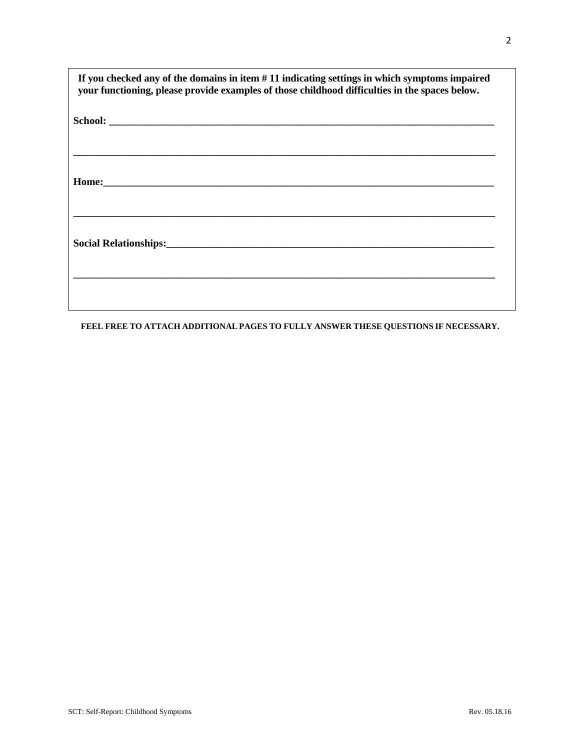| If you checked any of the domains in item $# 11$ indicating settings in which symptoms impaired<br>your functioning, please provide examples of those childhood difficulties in the spaces below. |
|---------------------------------------------------------------------------------------------------------------------------------------------------------------------------------------------------|
|                                                                                                                                                                                                   |
|                                                                                                                                                                                                   |
|                                                                                                                                                                                                   |
|                                                                                                                                                                                                   |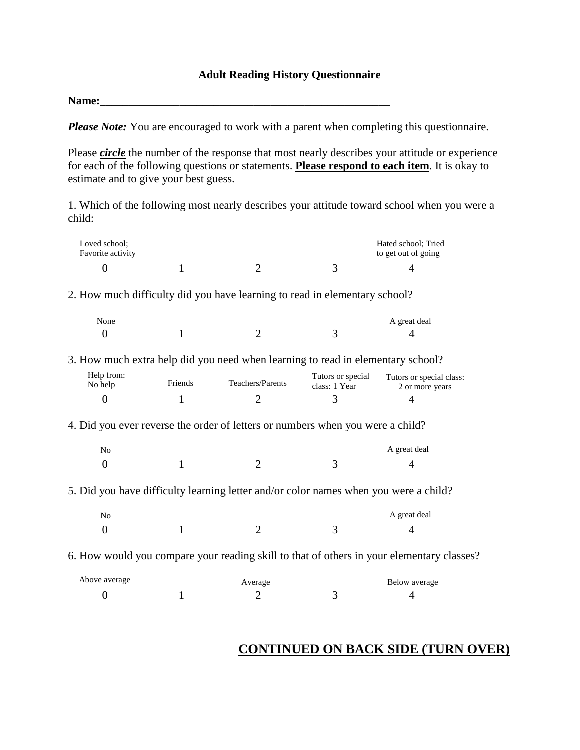#### **Adult Reading History Questionnaire**

Name:

*Please Note:* You are encouraged to work with a parent when completing this questionnaire.

Please *circle* the number of the response that most nearly describes your attitude or experience for each of the following questions or statements. **Please respond to each item**. It is okay to estimate and to give your best guess.

1. Which of the following most nearly describes your attitude toward school when you were a child:

| Loved school;<br>Favorite activity |         |                                                                                           |                                    | Hated school; Tried<br>to get out of going  |  |
|------------------------------------|---------|-------------------------------------------------------------------------------------------|------------------------------------|---------------------------------------------|--|
| $\overline{0}$                     | 1       | $\overline{2}$                                                                            | 3                                  | 4                                           |  |
|                                    |         | 2. How much difficulty did you have learning to read in elementary school?                |                                    |                                             |  |
| None                               |         |                                                                                           |                                    | A great deal                                |  |
| $\overline{0}$                     | 1       | $\overline{2}$                                                                            | 3                                  | 4                                           |  |
|                                    |         | 3. How much extra help did you need when learning to read in elementary school?           |                                    |                                             |  |
| Help from:<br>No help              | Friends | Teachers/Parents                                                                          | Tutors or special<br>class: 1 Year | Tutors or special class:<br>2 or more years |  |
| $\overline{0}$                     | 1       | $\overline{2}$                                                                            | 3                                  | 4                                           |  |
|                                    |         | 4. Did you ever reverse the order of letters or numbers when you were a child?            |                                    |                                             |  |
| N <sub>o</sub>                     |         |                                                                                           |                                    | A great deal                                |  |
| $\theta$                           | 1       | $\overline{2}$                                                                            | 3                                  | 4                                           |  |
|                                    |         | 5. Did you have difficulty learning letter and/or color names when you were a child?      |                                    |                                             |  |
| N <sub>o</sub>                     |         |                                                                                           |                                    | A great deal                                |  |
| $\overline{0}$                     | 1       | $\overline{2}$                                                                            | 3                                  | 4                                           |  |
|                                    |         | 6. How would you compare your reading skill to that of others in your elementary classes? |                                    |                                             |  |
| Above average                      |         | Average                                                                                   |                                    | Below average                               |  |
| $\boldsymbol{0}$                   | 1       | $\overline{2}$                                                                            | 3                                  | 4                                           |  |

### **CONTINUED ON BACK SIDE (TURN OVER)**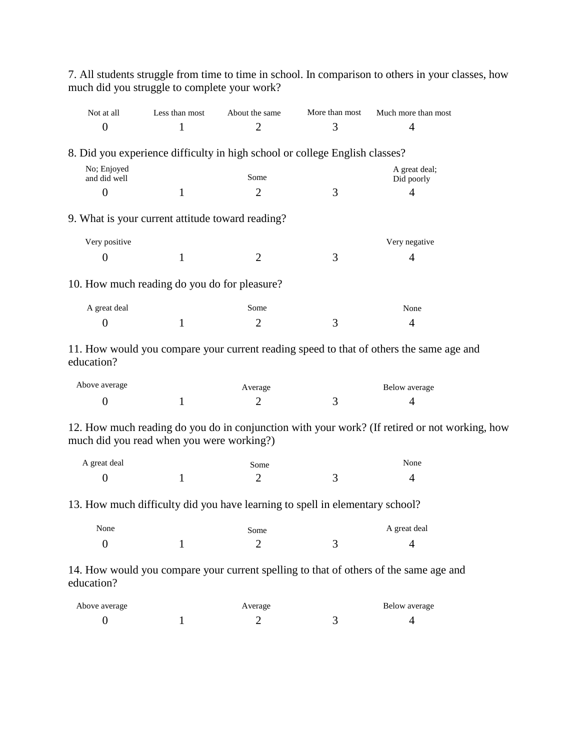| Not at all                                       | Less than most | About the same                                                               | More than most | Much more than most                                                                           |  |
|--------------------------------------------------|----------------|------------------------------------------------------------------------------|----------------|-----------------------------------------------------------------------------------------------|--|
| $\overline{0}$                                   | 1              | $\overline{2}$                                                               | 3              | 4                                                                                             |  |
|                                                  |                | 8. Did you experience difficulty in high school or college English classes?  |                |                                                                                               |  |
| No; Enjoyed                                      |                |                                                                              |                | A great deal;                                                                                 |  |
| and did well                                     |                | Some                                                                         |                | Did poorly                                                                                    |  |
| $\overline{0}$                                   | 1              | $\overline{2}$                                                               | 3              | 4                                                                                             |  |
| 9. What is your current attitude toward reading? |                |                                                                              |                |                                                                                               |  |
| Very positive                                    |                |                                                                              |                | Very negative                                                                                 |  |
| 0                                                | 1              | $\overline{2}$                                                               | 3              | 4                                                                                             |  |
| 10. How much reading do you do for pleasure?     |                |                                                                              |                |                                                                                               |  |
| A great deal                                     |                | Some                                                                         |                | None                                                                                          |  |
| $\overline{0}$                                   | 1              | $\overline{2}$                                                               | 3              | 4                                                                                             |  |
| education?                                       |                |                                                                              |                | 11. How would you compare your current reading speed to that of others the same age and       |  |
| Above average                                    |                | Average                                                                      |                | Below average                                                                                 |  |
| $\boldsymbol{0}$                                 | 1              | $\overline{2}$                                                               | 3              | 4                                                                                             |  |
| much did you read when you were working?)        |                |                                                                              |                | 12. How much reading do you do in conjunction with your work? (If retired or not working, how |  |
| A great deal                                     |                | Some                                                                         |                | None                                                                                          |  |
| $\overline{0}$                                   | $\mathbf{1}$   | $\overline{2}$                                                               | 3              | 4                                                                                             |  |
|                                                  |                | 13. How much difficulty did you have learning to spell in elementary school? |                |                                                                                               |  |
| None                                             |                | Some                                                                         |                | A great deal                                                                                  |  |
| $\overline{0}$                                   | 1              | $\overline{2}$                                                               | 3              | $\overline{4}$                                                                                |  |
| education?                                       |                |                                                                              |                | 14. How would you compare your current spelling to that of others of the same age and         |  |
| Above average                                    |                | Average                                                                      |                | Below average                                                                                 |  |
| $\boldsymbol{0}$                                 | 1              | $\overline{2}$                                                               | 3              | $\overline{4}$                                                                                |  |

7. All students struggle from time to time in school. In comparison to others in your classes, how much did you struggle to complete your work?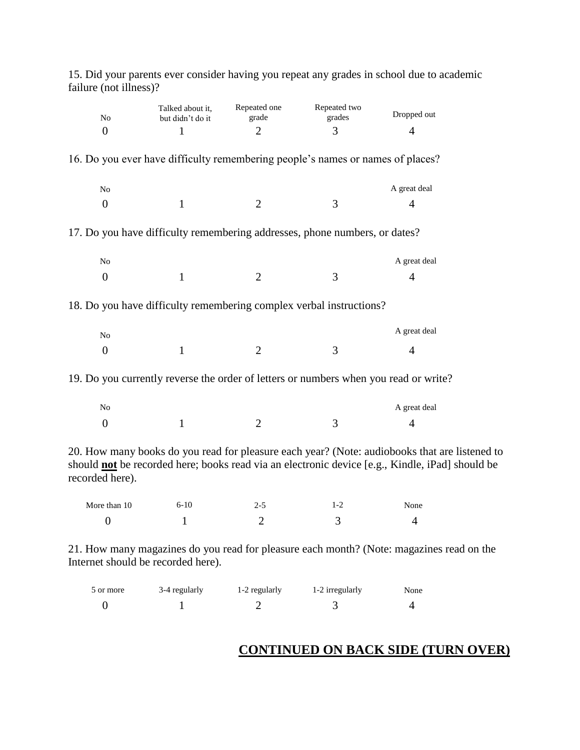| No<br>$\overline{0}$ | Talked about it,<br>but didn't do it<br>$\mathbf{1}$ | Repeated one<br>grade<br>$\overline{2}$ | Repeated two<br>grades<br>3                                                                                                                                                                             | Dropped out<br>$\overline{4}$ |  |
|----------------------|------------------------------------------------------|-----------------------------------------|---------------------------------------------------------------------------------------------------------------------------------------------------------------------------------------------------------|-------------------------------|--|
|                      |                                                      |                                         | 16. Do you ever have difficulty remembering people's names or names of places?                                                                                                                          |                               |  |
| $\rm No$             |                                                      |                                         |                                                                                                                                                                                                         | A great deal                  |  |
| $\overline{0}$       | 1                                                    | $\overline{2}$                          | 3                                                                                                                                                                                                       | 4                             |  |
|                      |                                                      |                                         | 17. Do you have difficulty remembering addresses, phone numbers, or dates?                                                                                                                              |                               |  |
| $\rm No$             |                                                      |                                         |                                                                                                                                                                                                         | A great deal                  |  |
| $\overline{0}$       | $\mathbf{1}$                                         | $\overline{2}$                          | 3                                                                                                                                                                                                       | $\overline{4}$                |  |
|                      |                                                      |                                         | 18. Do you have difficulty remembering complex verbal instructions?                                                                                                                                     |                               |  |
| $\rm No$             |                                                      |                                         |                                                                                                                                                                                                         | A great deal                  |  |
| $\boldsymbol{0}$     | $\mathbf{1}$                                         | $\overline{2}$                          | 3                                                                                                                                                                                                       | $\overline{4}$                |  |
|                      |                                                      |                                         | 19. Do you currently reverse the order of letters or numbers when you read or write?                                                                                                                    |                               |  |
| No                   |                                                      |                                         |                                                                                                                                                                                                         | A great deal                  |  |
| $\overline{0}$       | $\mathbf{1}$                                         | $\overline{2}$                          | 3                                                                                                                                                                                                       | $\overline{4}$                |  |
| recorded here).      |                                                      |                                         | 20. How many books do you read for pleasure each year? (Note: audiobooks that are listened to<br>should <b>not</b> be recorded here; books read via an electronic device [e.g., Kindle, iPad] should be |                               |  |
| More than 10         | $6 - 10$                                             | $2 - 5$                                 | $1 - 2$                                                                                                                                                                                                 | None                          |  |

15. Did your parents ever consider having you repeat any grades in school due to academic failure (not illness)?

21. How many magazines do you read for pleasure each month? (Note: magazines read on the Internet should be recorded here).

| 5 or more | 3-4 regularly | 1-2 regularly | 1-2 irregularly | None |
|-----------|---------------|---------------|-----------------|------|
|           |               |               |                 |      |

0 1 2 3 4

### **CONTINUED ON BACK SIDE (TURN OVER)**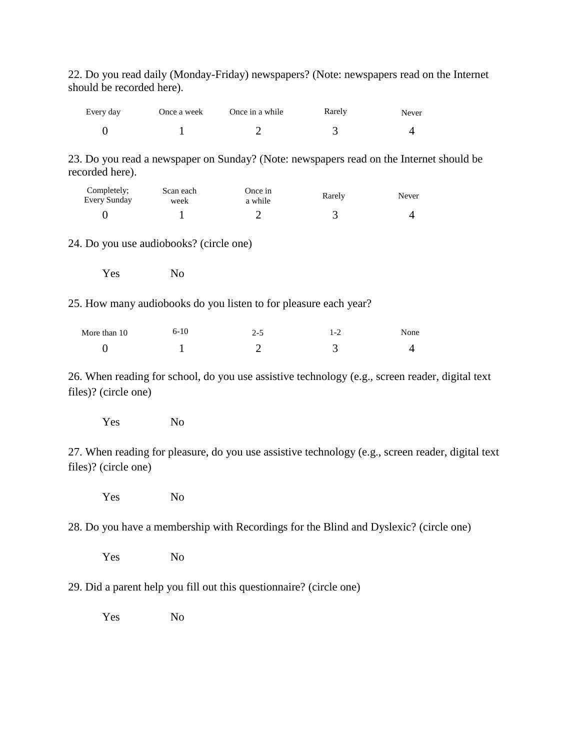22. Do you read daily (Monday-Friday) newspapers? (Note: newspapers read on the Internet should be recorded here).

| Every day | Once a week | Once in a while | Rarely | Never |
|-----------|-------------|-----------------|--------|-------|
|           |             |                 |        |       |

23. Do you read a newspaper on Sunday? (Note: newspapers read on the Internet should be recorded here).

| Completely;<br>Every Sunday | Scan each<br>week | Once in<br>a while | Rarely | Never |
|-----------------------------|-------------------|--------------------|--------|-------|
|                             |                   |                    |        |       |

24. Do you use audiobooks? (circle one)

Yes No

25. How many audiobooks do you listen to for pleasure each year?

| More than 10 | $6-10$ | 2-5 | $\mathbf{I} - \mathbf{A}$ | None |
|--------------|--------|-----|---------------------------|------|
|              |        |     |                           |      |

26. When reading for school, do you use assistive technology (e.g., screen reader, digital text files)? (circle one)

Yes No

27. When reading for pleasure, do you use assistive technology (e.g., screen reader, digital text files)? (circle one)

Yes No

28. Do you have a membership with Recordings for the Blind and Dyslexic? (circle one)

Yes No

29. Did a parent help you fill out this questionnaire? (circle one)

Yes No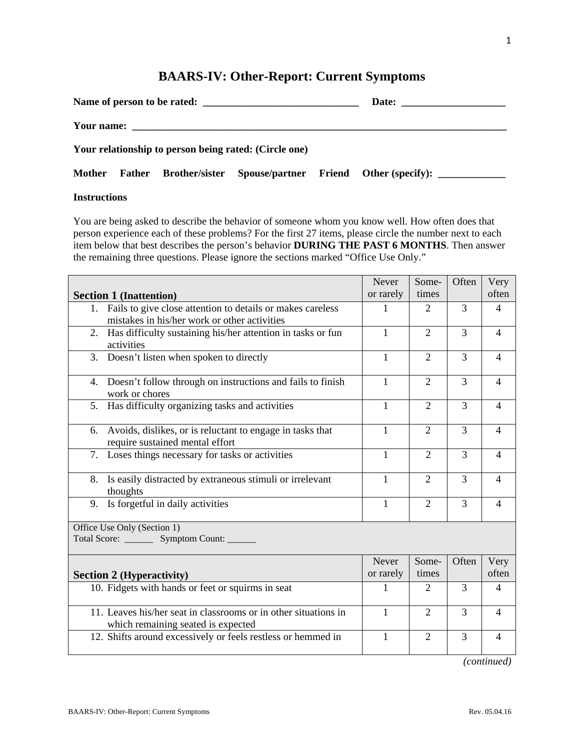# **BAARS-IV: Other-Report: Current Symptoms**

|  | Name of person to be rated:                           |                                                                     |
|--|-------------------------------------------------------|---------------------------------------------------------------------|
|  |                                                       |                                                                     |
|  | Your relationship to person being rated: (Circle one) |                                                                     |
|  |                                                       | Mother Father Brother/sister Spouse/partner Friend Other (specify): |

#### **Instructions**

You are being asked to describe the behavior of someone whom you know well. How often does that person experience each of these problems? For the first 27 items, please circle the number next to each item below that best describes the person's behavior **DURING THE PAST 6 MONTHS**. Then answer the remaining three questions. Please ignore the sections marked "Office Use Only."

|                                                                                                                  | Never              | Some-          | Often          | Very           |
|------------------------------------------------------------------------------------------------------------------|--------------------|----------------|----------------|----------------|
| <b>Section 1 (Inattention)</b>                                                                                   | or rarely          | times          |                | often          |
| Fails to give close attention to details or makes careless<br>1.<br>mistakes in his/her work or other activities | 1                  | 2              | 3              | $\overline{4}$ |
| Has difficulty sustaining his/her attention in tasks or fun<br>2.<br>activities                                  | $\mathbf{1}$       | $\overline{2}$ | $\overline{3}$ | $\overline{4}$ |
| 3.<br>Doesn't listen when spoken to directly                                                                     | 1                  | $\overline{2}$ | 3              | $\overline{4}$ |
| 4. Doesn't follow through on instructions and fails to finish<br>work or chores                                  | 1                  | $\overline{2}$ | 3              | $\overline{4}$ |
| Has difficulty organizing tasks and activities<br>5.                                                             | $\mathbf{1}$       | $\overline{2}$ | $\overline{3}$ | $\overline{4}$ |
| Avoids, dislikes, or is reluctant to engage in tasks that<br>6.<br>require sustained mental effort               | 1                  | $\overline{2}$ | 3              | $\overline{4}$ |
| Loses things necessary for tasks or activities<br>7.                                                             | $\mathbf{1}$       | $\overline{2}$ | 3              | $\overline{4}$ |
| Is easily distracted by extraneous stimuli or irrelevant<br>8.<br>thoughts                                       | $\mathbf{1}$       | $\overline{2}$ | 3              | $\overline{4}$ |
| Is forgetful in daily activities<br>9.                                                                           | $\mathbf{1}$       | $\overline{2}$ | 3              | $\overline{4}$ |
| Office Use Only (Section 1)<br>Total Score: _________ Symptom Count: _______                                     |                    |                |                |                |
| <b>Section 2 (Hyperactivity)</b>                                                                                 | Never<br>or rarely | Some-<br>times | Often          | Very<br>often  |
| 10. Fidgets with hands or feet or squirms in seat                                                                | 1                  | 2              | 3              | 4              |
| 11. Leaves his/her seat in classrooms or in other situations in<br>which remaining seated is expected            | 1                  | $\overline{2}$ | 3              | 4              |
| 12. Shifts around excessively or feels restless or hemmed in                                                     | 1                  | $\overline{2}$ | $\overline{3}$ | $\overline{4}$ |
|                                                                                                                  |                    |                |                | (continued)    |

1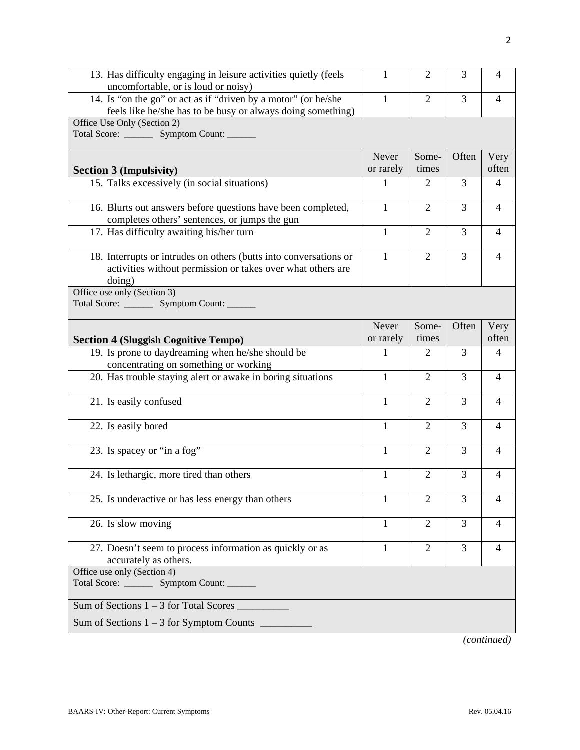| 13. Has difficulty engaging in leisure activities quietly (feels<br>uncomfortable, or is loud or noisy)                                    | 1                  | $\overline{2}$ | 3     | 4              |
|--------------------------------------------------------------------------------------------------------------------------------------------|--------------------|----------------|-------|----------------|
| 14. Is "on the go" or act as if "driven by a motor" (or he/she<br>feels like he/she has to be busy or always doing something)              | 1                  | $\overline{2}$ | 3     | 4              |
| Office Use Only (Section 2)<br>Total Score: __________ Symptom Count: ______                                                               |                    |                |       |                |
| <b>Section 3 (Impulsivity)</b>                                                                                                             | Never<br>or rarely | Some-<br>times | Often | Very<br>often  |
| 15. Talks excessively (in social situations)                                                                                               | 1                  | 2              | 3     | 4              |
| 16. Blurts out answers before questions have been completed,<br>completes others' sentences, or jumps the gun                              | 1                  | $\overline{2}$ | 3     | 4              |
| 17. Has difficulty awaiting his/her turn                                                                                                   | 1                  | $\overline{2}$ | 3     | 4              |
| 18. Interrupts or intrudes on others (butts into conversations or<br>activities without permission or takes over what others are<br>doing) | 1                  | $\overline{2}$ | 3     | 4              |
| Office use only (Section 3)<br>Total Score: _________ Symptom Count: _______                                                               |                    |                |       |                |
| <b>Section 4 (Sluggish Cognitive Tempo)</b>                                                                                                | Never<br>or rarely | Some-<br>times | Often | Very<br>often  |
| 19. Is prone to daydreaming when he/she should be<br>concentrating on something or working                                                 | 1                  | $\overline{2}$ | 3     | 4              |
| 20. Has trouble staying alert or awake in boring situations                                                                                | 1                  | $\overline{2}$ | 3     | $\overline{4}$ |
| 21. Is easily confused                                                                                                                     | 1                  | $\overline{2}$ | 3     | 4              |
| 22. Is easily bored                                                                                                                        | $\mathbf{1}$       | $\overline{2}$ | 3     | 4              |
| 23. Is spacey or "in a fog"                                                                                                                | $\mathbf{1}$       | $\overline{2}$ | 3     | 4              |
| 24. Is lethargic, more tired than others                                                                                                   | $\mathbf{1}$       | $\overline{2}$ | 3     | 4              |
| 25. Is underactive or has less energy than others                                                                                          | 1                  | $\overline{2}$ | 3     | 4              |
| 26. Is slow moving                                                                                                                         | 1                  | $\overline{2}$ | 3     | 4              |
| 27. Doesn't seem to process information as quickly or as<br>accurately as others.                                                          | $\mathbf{1}$       | $\overline{2}$ | 3     | $\overline{4}$ |
| Office use only (Section 4)<br>Total Score: __________ Symptom Count: ______                                                               |                    |                |       |                |
| Sum of Sections $1 - 3$ for Total Scores $\_\_$                                                                                            |                    |                |       |                |
|                                                                                                                                            |                    |                |       | (continued)    |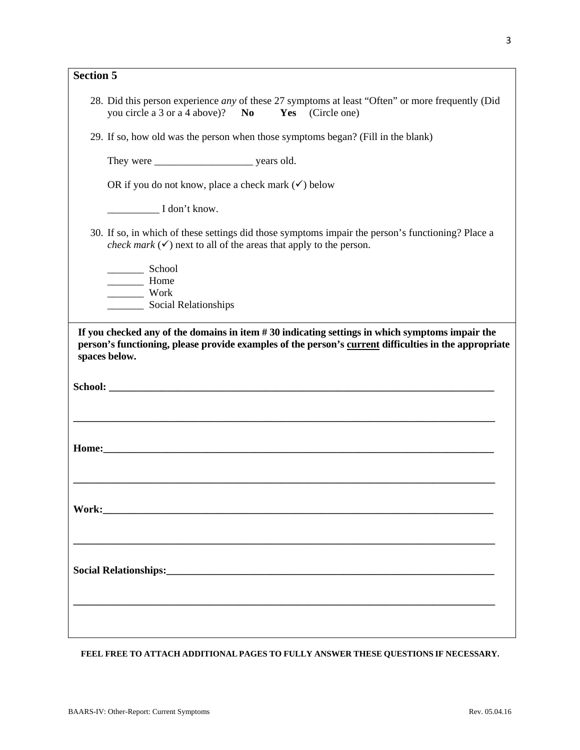| Section 5 |                                                                                                                                                                                                                            |  |
|-----------|----------------------------------------------------------------------------------------------------------------------------------------------------------------------------------------------------------------------------|--|
|           | 28. Did this person experience any of these 27 symptoms at least "Often" or more frequently (Did<br>you circle a 3 or a 4 above)? No<br>Yes<br>(Circle one)                                                                |  |
|           | 29. If so, how old was the person when those symptoms began? (Fill in the blank)                                                                                                                                           |  |
|           |                                                                                                                                                                                                                            |  |
|           | OR if you do not know, place a check mark $(\checkmark)$ below                                                                                                                                                             |  |
|           | $I$ don't know.                                                                                                                                                                                                            |  |
|           | 30. If so, in which of these settings did those symptoms impair the person's functioning? Place a<br><i>check mark</i> $(\checkmark)$ next to all of the areas that apply to the person.                                   |  |
|           | School                                                                                                                                                                                                                     |  |
|           | Home<br>Work                                                                                                                                                                                                               |  |
|           |                                                                                                                                                                                                                            |  |
|           | If you checked any of the domains in item $#30$ indicating settings in which symptoms impair the<br>person's functioning, please provide examples of the person's current difficulties in the appropriate<br>spaces below. |  |
|           |                                                                                                                                                                                                                            |  |
|           |                                                                                                                                                                                                                            |  |
|           |                                                                                                                                                                                                                            |  |
|           |                                                                                                                                                                                                                            |  |
|           |                                                                                                                                                                                                                            |  |
|           |                                                                                                                                                                                                                            |  |
|           |                                                                                                                                                                                                                            |  |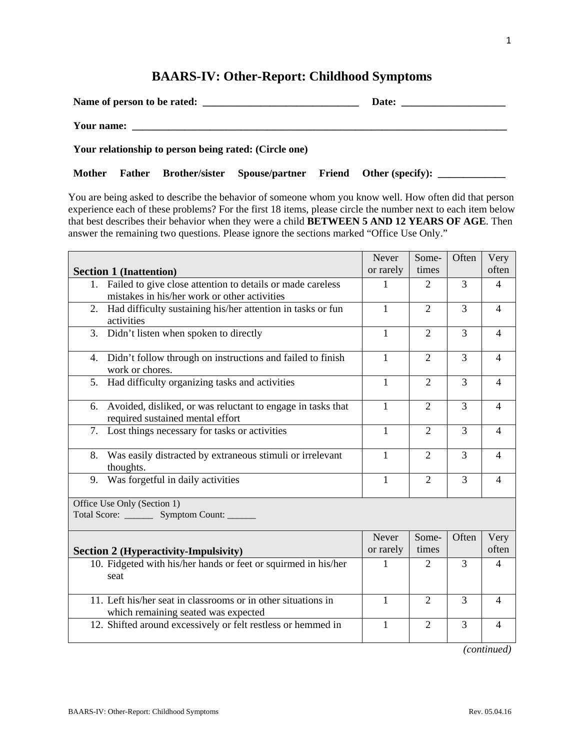#### **BAARS-IV: Other-Report: Childhood Symptoms**

| Name of person to be rated:                           | Date: |
|-------------------------------------------------------|-------|
| Your name:                                            |       |
| Your relationship to person being rated: (Circle one) |       |

Mother Father Brother/sister Spouse/partner Friend Other (specify): \_\_\_\_\_\_\_\_\_\_\_\_

You are being asked to describe the behavior of someone whom you know well. How often did that person experience each of these problems? For the first 18 items, please circle the number next to each item below that best describes their behavior when they were a child **BETWEEN 5 AND 12 YEARS OF AGE**. Then answer the remaining two questions. Please ignore the sections marked "Office Use Only."

|    |                                                                                                      | Never        | Some-          | Often          | Very           |
|----|------------------------------------------------------------------------------------------------------|--------------|----------------|----------------|----------------|
|    | <b>Section 1 (Inattention)</b>                                                                       | or rarely    | times          |                | often          |
|    | 1. Failed to give close attention to details or made careless                                        | 1            | $\overline{2}$ | 3              | $\overline{4}$ |
|    | mistakes in his/her work or other activities                                                         |              |                |                |                |
| 2. | Had difficulty sustaining his/her attention in tasks or fun                                          | $\mathbf{1}$ | $\overline{2}$ | 3              | $\overline{4}$ |
|    | activities                                                                                           |              |                |                |                |
| 3. | Didn't listen when spoken to directly                                                                | 1            | $\overline{2}$ | 3              | $\overline{4}$ |
| 4. | Didn't follow through on instructions and failed to finish<br>work or chores.                        | $\mathbf{1}$ | $\overline{2}$ | 3              | $\overline{4}$ |
| 5. | Had difficulty organizing tasks and activities                                                       | $\mathbf{1}$ | $\overline{2}$ | 3              | $\overline{4}$ |
| 6. | Avoided, disliked, or was reluctant to engage in tasks that<br>required sustained mental effort      | $\mathbf{1}$ | $\overline{2}$ | 3              | $\overline{4}$ |
| 7. | Lost things necessary for tasks or activities                                                        | 1            | $\overline{2}$ | $\overline{3}$ | $\overline{4}$ |
| 8. | Was easily distracted by extraneous stimuli or irrelevant<br>thoughts.                               | $\mathbf{1}$ | $\overline{2}$ | 3              | $\overline{4}$ |
| 9. | Was forgetful in daily activities                                                                    | 1            | $\overline{2}$ | 3              | $\overline{4}$ |
|    | Office Use Only (Section 1)<br>Total Score: _________ Symptom Count: _______                         |              |                |                |                |
|    |                                                                                                      | Never        | Some-          | Often          | Very           |
|    | <b>Section 2 (Hyperactivity-Impulsivity)</b>                                                         | or rarely    | times          |                | often          |
|    | 10. Fidgeted with his/her hands or feet or squirmed in his/her<br>seat                               | 1            | 2              | 3              | $\overline{4}$ |
|    | 11. Left his/her seat in classrooms or in other situations in<br>which remaining seated was expected | $\mathbf{1}$ | $\overline{2}$ | 3              | $\overline{4}$ |
|    | 12. Shifted around excessively or felt restless or hemmed in                                         | $\mathbf{1}$ | $\overline{2}$ | 3              | $\overline{4}$ |
|    |                                                                                                      |              |                |                | (continued)    |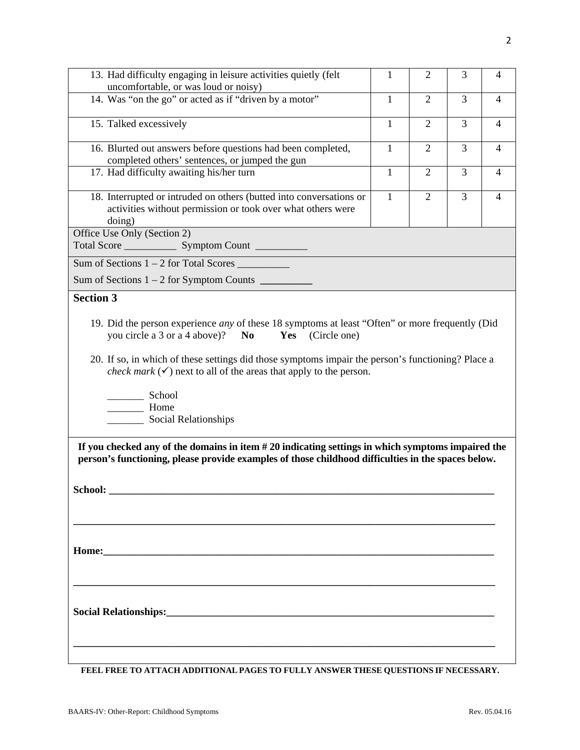| 1                                                                                   | 2              | 3 | 4                                                                                                                                                                                                                                                                                                                                                                                                                       |
|-------------------------------------------------------------------------------------|----------------|---|-------------------------------------------------------------------------------------------------------------------------------------------------------------------------------------------------------------------------------------------------------------------------------------------------------------------------------------------------------------------------------------------------------------------------|
| $\mathbf{1}$                                                                        | $\overline{2}$ | 3 | 4                                                                                                                                                                                                                                                                                                                                                                                                                       |
| $\mathbf{1}$                                                                        | $\overline{2}$ | 3 | 4                                                                                                                                                                                                                                                                                                                                                                                                                       |
| $\mathbf{1}$                                                                        | $\overline{2}$ | 3 | 4                                                                                                                                                                                                                                                                                                                                                                                                                       |
| $\mathbf{1}$                                                                        | $\overline{2}$ | 3 | $\overline{4}$                                                                                                                                                                                                                                                                                                                                                                                                          |
| $\mathbf{1}$                                                                        | $\overline{2}$ | 3 | 4                                                                                                                                                                                                                                                                                                                                                                                                                       |
|                                                                                     |                |   |                                                                                                                                                                                                                                                                                                                                                                                                                         |
|                                                                                     |                |   |                                                                                                                                                                                                                                                                                                                                                                                                                         |
|                                                                                     |                |   |                                                                                                                                                                                                                                                                                                                                                                                                                         |
|                                                                                     |                |   |                                                                                                                                                                                                                                                                                                                                                                                                                         |
|                                                                                     |                |   |                                                                                                                                                                                                                                                                                                                                                                                                                         |
|                                                                                     |                |   |                                                                                                                                                                                                                                                                                                                                                                                                                         |
|                                                                                     |                |   |                                                                                                                                                                                                                                                                                                                                                                                                                         |
| <i>check mark</i> $(\checkmark)$ next to all of the areas that apply to the person. |                |   | 19. Did the person experience <i>any</i> of these 18 symptoms at least "Often" or more frequently (Did<br>20. If so, in which of these settings did those symptoms impair the person's functioning? Place a<br>If you checked any of the domains in item $#20$ indicating settings in which symptoms impaired the<br>person's functioning, please provide examples of those childhood difficulties in the spaces below. |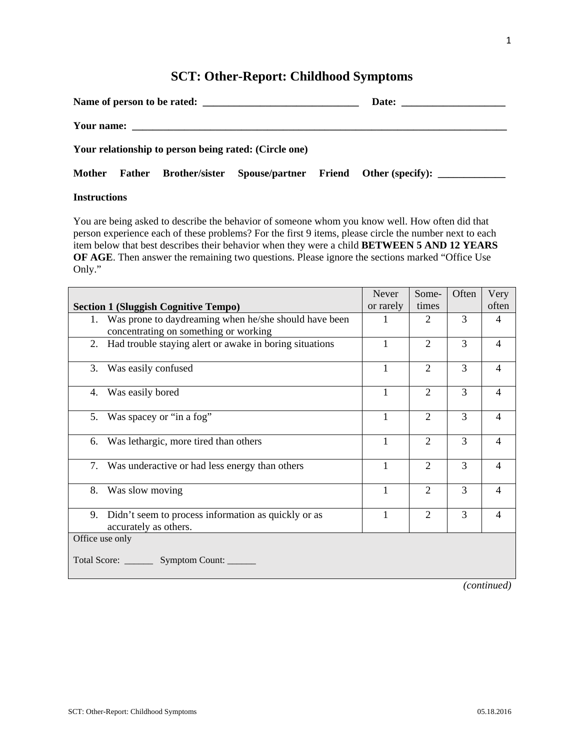# **SCT: Other-Report: Childhood Symptoms**

|                                                       |  | Name of person to be rated: |  |  |                                                                     |  |  |  |  |  |
|-------------------------------------------------------|--|-----------------------------|--|--|---------------------------------------------------------------------|--|--|--|--|--|
|                                                       |  |                             |  |  |                                                                     |  |  |  |  |  |
| Your relationship to person being rated: (Circle one) |  |                             |  |  |                                                                     |  |  |  |  |  |
|                                                       |  |                             |  |  | Mother Father Brother/sister Spouse/partner Friend Other (specify): |  |  |  |  |  |

#### **Instructions**

You are being asked to describe the behavior of someone whom you know well. How often did that person experience each of these problems? For the first 9 items, please circle the number next to each item below that best describes their behavior when they were a child **BETWEEN 5 AND 12 YEARS OF AGE**. Then answer the remaining two questions. Please ignore the sections marked "Office Use Only."

|                                                                                 | Never     | Some-          | Often | Very           |  |  |  |  |
|---------------------------------------------------------------------------------|-----------|----------------|-------|----------------|--|--|--|--|
| <b>Section 1 (Sluggish Cognitive Tempo)</b>                                     | or rarely | times          |       | often          |  |  |  |  |
| 1. Was prone to daydreaming when he/she should have been                        |           | 2              | 3     | 4              |  |  |  |  |
| concentrating on something or working                                           |           |                |       |                |  |  |  |  |
| 2. Had trouble staying alert or awake in boring situations                      |           | $\overline{2}$ | 3     | $\overline{4}$ |  |  |  |  |
| 3.<br>Was easily confused                                                       |           | $\overline{2}$ | 3     | $\overline{4}$ |  |  |  |  |
| Was easily bored<br>4.                                                          |           | $\overline{2}$ | 3     | 4              |  |  |  |  |
| Was spacey or "in a fog"<br>5.                                                  |           | $\overline{2}$ | 3     | 4              |  |  |  |  |
| Was lethargic, more tired than others<br>6.                                     | 1         | $\overline{2}$ | 3     | $\overline{4}$ |  |  |  |  |
| 7.<br>Was underactive or had less energy than others                            | 1         | $\overline{2}$ | 3     | $\overline{4}$ |  |  |  |  |
| 8.<br>Was slow moving                                                           |           | $\overline{2}$ | 3     | $\overline{4}$ |  |  |  |  |
| 9. Didn't seem to process information as quickly or as<br>accurately as others. |           | $\overline{2}$ | 3     | 4              |  |  |  |  |
| Office use only<br>Total Score: __________ Symptom Count: _______               |           |                |       |                |  |  |  |  |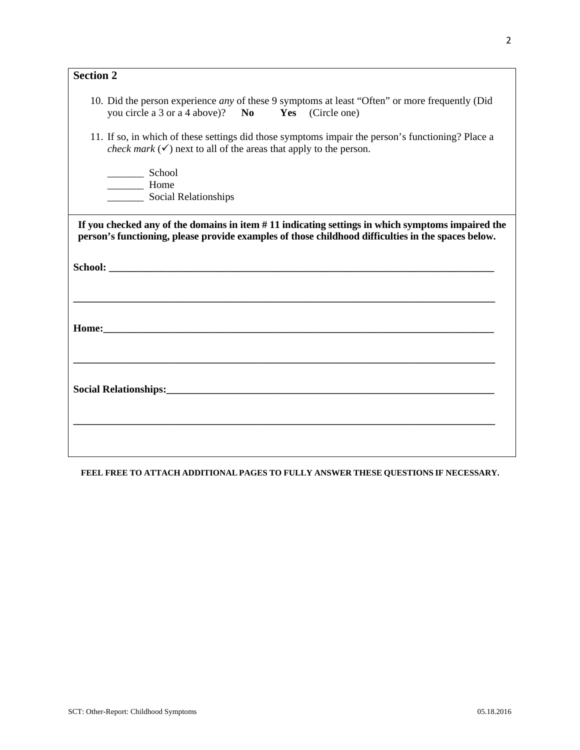| <b>Section 2</b> |                                                                                                                                                                                                                                |
|------------------|--------------------------------------------------------------------------------------------------------------------------------------------------------------------------------------------------------------------------------|
|                  | 10. Did the person experience <i>any</i> of these 9 symptoms at least "Often" or more frequently (Did<br>you circle a 3 or a 4 above)? No<br>Yes (Circle one)                                                                  |
|                  | 11. If so, in which of these settings did those symptoms impair the person's functioning? Place a<br><i>check mark</i> $(\checkmark)$ next to all of the areas that apply to the person.                                       |
|                  | Home                                                                                                                                                                                                                           |
|                  | If you checked any of the domains in item #11 indicating settings in which symptoms impaired the                                                                                                                               |
|                  | person's functioning, please provide examples of those childhood difficulties in the spaces below.                                                                                                                             |
|                  |                                                                                                                                                                                                                                |
|                  |                                                                                                                                                                                                                                |
|                  |                                                                                                                                                                                                                                |
|                  |                                                                                                                                                                                                                                |
|                  | Home: The contract of the contract of the contract of the contract of the contract of the contract of the contract of the contract of the contract of the contract of the contract of the contract of the contract of the cont |
|                  |                                                                                                                                                                                                                                |
|                  |                                                                                                                                                                                                                                |
|                  |                                                                                                                                                                                                                                |
|                  |                                                                                                                                                                                                                                |
|                  |                                                                                                                                                                                                                                |
|                  |                                                                                                                                                                                                                                |
|                  |                                                                                                                                                                                                                                |
|                  |                                                                                                                                                                                                                                |